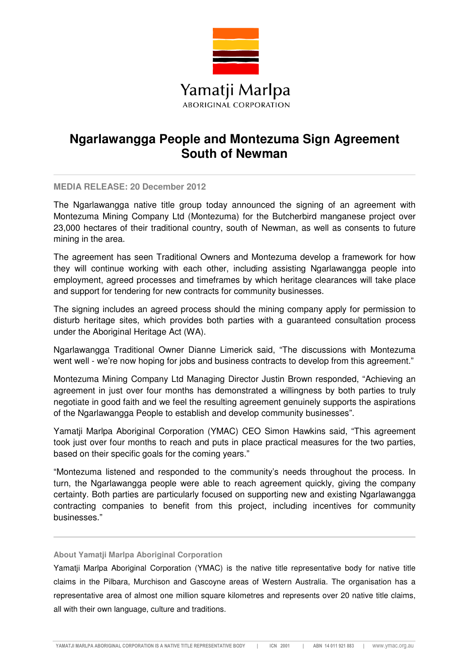

## **Ngarlawangga People and Montezuma Sign Agreement South of Newman**

**MEDIA RELEASE: 20 December 2012** 

The Ngarlawangga native title group today announced the signing of an agreement with Montezuma Mining Company Ltd (Montezuma) for the Butcherbird manganese project over 23,000 hectares of their traditional country, south of Newman, as well as consents to future mining in the area.

The agreement has seen Traditional Owners and Montezuma develop a framework for how they will continue working with each other, including assisting Ngarlawangga people into employment, agreed processes and timeframes by which heritage clearances will take place and support for tendering for new contracts for community businesses.

The signing includes an agreed process should the mining company apply for permission to disturb heritage sites, which provides both parties with a guaranteed consultation process under the Aboriginal Heritage Act (WA).

Ngarlawangga Traditional Owner Dianne Limerick said, "The discussions with Montezuma went well - we're now hoping for jobs and business contracts to develop from this agreement."

Montezuma Mining Company Ltd Managing Director Justin Brown responded, "Achieving an agreement in just over four months has demonstrated a willingness by both parties to truly negotiate in good faith and we feel the resulting agreement genuinely supports the aspirations of the Ngarlawangga People to establish and develop community businesses".

Yamatji Marlpa Aboriginal Corporation (YMAC) CEO Simon Hawkins said, "This agreement took just over four months to reach and puts in place practical measures for the two parties, based on their specific goals for the coming years."

"Montezuma listened and responded to the community's needs throughout the process. In turn, the Ngarlawangga people were able to reach agreement quickly, giving the company certainty. Both parties are particularly focused on supporting new and existing Ngarlawangga contracting companies to benefit from this project, including incentives for community businesses."

## **About Yamatji Marlpa Aboriginal Corporation**

Yamatji Marlpa Aboriginal Corporation (YMAC) is the native title representative body for native title claims in the Pilbara, Murchison and Gascoyne areas of Western Australia. The organisation has a representative area of almost one million square kilometres and represents over 20 native title claims, all with their own language, culture and traditions.